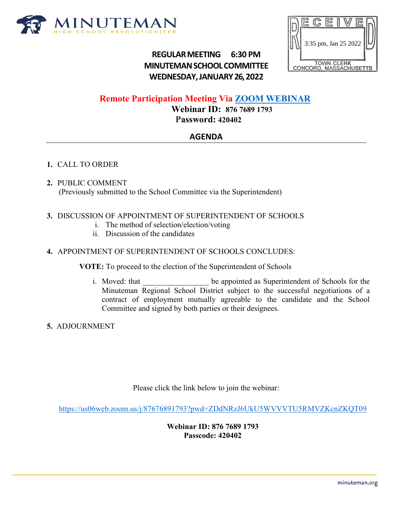

# $\mathbb{C}$ 3:35 pm, Jan 25 2022TOWN CLERK<br>ONCORD, MASSACHUSETTS

# **REGULARMEETING 6:30 PM MINUTEMANSCHOOLCOMMITTEE WEDNESDAY,JANUARY26,2022**

# **Remote Participation Meeting Via [ZOOM WEBINAR](https://us06web.zoom.us/j/87676891793?pwd=ZDdNRzJ6UkU5WVVVTU5RMVZKcnZKQT09)**

**Webinar ID: 876 7689 1793 Password: 420402**

## **AGENDA**

### **1.** CALL TO ORDER

**2.** PUBLIC COMMENT (Previously submitted to the School Committee via the Superintendent)

#### **3.** DISCUSSION OF APPOINTMENT OF SUPERINTENDENT OF SCHOOLS

- i. The method of selection/election/voting
- ii. Discussion of the candidates

#### **4.** APPOINTMENT OF SUPERINTENDENT OF SCHOOLS CONCLUDES:

**VOTE:** To proceed to the election of the Superintendent of Schools

- i. Moved: that  $\qquad \qquad$  be appointed as Superintendent of Schools for the Minuteman Regional School District subject to the successful negotiations of a contract of employment mutually agreeable to the candidate and the School Committee and signed by both parties or their designees.
- **5.** ADJOURNMENT

Please click the link below to join the webinar:

<https://us06web.zoom.us/j/87676891793?pwd=ZDdNRzJ6UkU5WVVVTU5RMVZKcnZKQT09>

**Webinar ID: 876 7689 1793 Passcode: 420402**